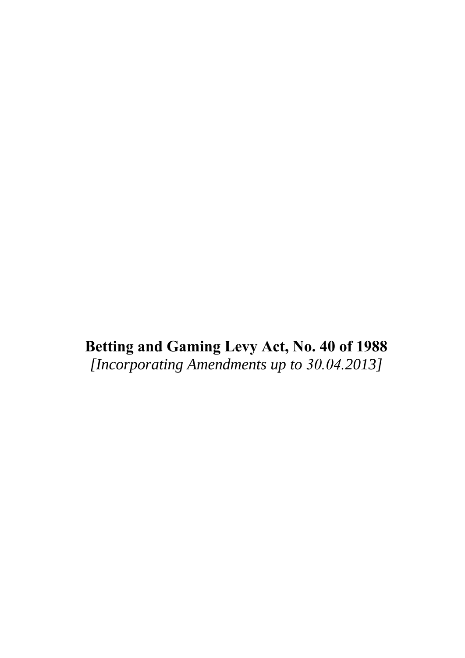**Betting and Gaming Levy Act, No. 40 of 1988** *[Incorporating Amendments up to 30.04.2013]*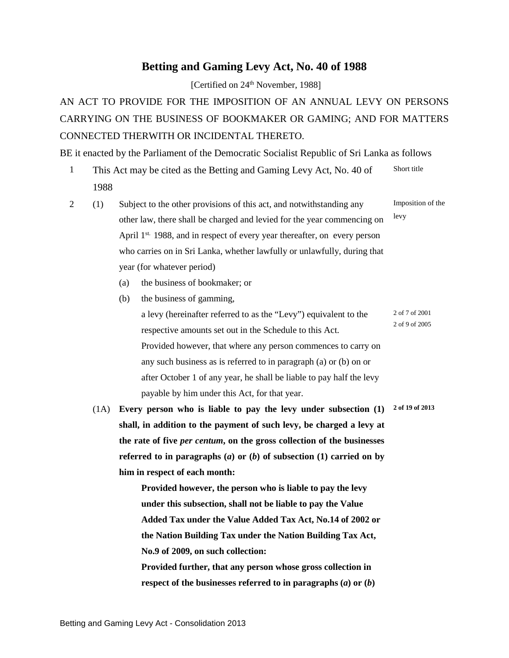## **Betting and Gaming Levy Act, No. 40 of 1988**

[Certified on 24<sup>th</sup> November, 1988]

AN ACT TO PROVIDE FOR THE IMPOSITION OF AN ANNUAL LEVY ON PERSONS CARRYING ON THE BUSINESS OF BOOKMAKER OR GAMING; AND FOR MATTERS CONNECTED THERWITH OR INCIDENTAL THERETO.

BE it enacted by the Parliament of the Democratic Socialist Republic of Sri Lanka as follows

- 1 This Act may be cited as the Betting and Gaming Levy Act, No. 40 of 1988 Short title
- 2 (1) Subject to the other provisions of this act, and notwithstanding any other law, there shall be charged and levied for the year commencing on April 1<sup>st.</sup> 1988, and in respect of every year thereafter, on every person who carries on in Sri Lanka, whether lawfully or unlawfully, during that year (for whatever period) Imposition of the levy
	- (a) the business of bookmaker; or
	- (b) the business of gamming,
		- a levy (hereinafter referred to as the "Levy") equivalent to the respective amounts set out in the Schedule to this Act. 2 of 7 of 2001 2 of 9 of 2005 Provided however, that where any person commences to carry on any such business as is referred to in paragraph (a) or (b) on or after October 1 of any year, he shall be liable to pay half the levy payable by him under this Act, for that year.
	- (1A) **Every person who is liable to pay the levy under subsection (1) 2 of 19 of 2013 shall, in addition to the payment of such levy, be charged a levy at the rate of five** *per centum***, on the gross collection of the businesses referred to in paragraphs (***a***) or (***b***) of subsection (1) carried on by him in respect of each month:**

**Provided however, the person who is liable to pay the levy under this subsection, shall not be liable to pay the Value Added Tax under the Value Added Tax Act, No.14 of 2002 or the Nation Building Tax under the Nation Building Tax Act, No.9 of 2009, on such collection:** 

**Provided further, that any person whose gross collection in respect of the businesses referred to in paragraphs (***a***) or (***b***)**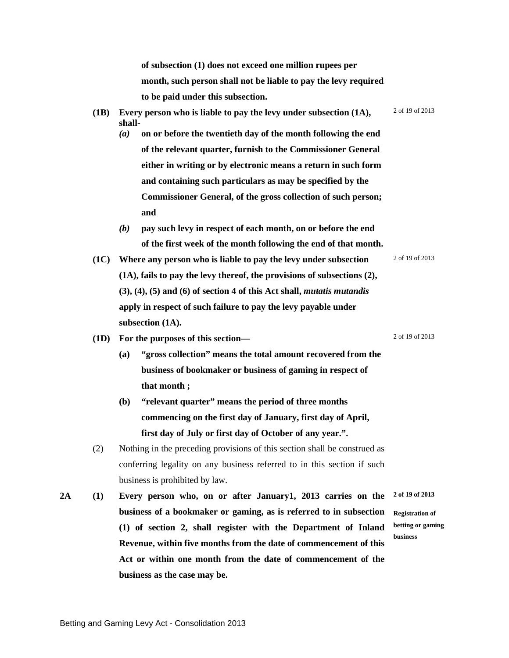**of subsection (1) does not exceed one million rupees per month, such person shall not be liable to pay the levy required to be paid under this subsection.**

- **(1B) Every person who is liable to pay the levy under subsection (1A), shall-**2 of 19 of 2013 *(a)* **on or before the twentieth day of the month following the end** 
	- **of the relevant quarter, furnish to the Commissioner General either in writing or by electronic means a return in such form and containing such particulars as may be specified by the Commissioner General, of the gross collection of such person; and**
	- *(b)* **pay such levy in respect of each month, on or before the end of the first week of the month following the end of that month.**
- **(1C) Where any person who is liable to pay the levy under subsection (1A), fails to pay the levy thereof, the provisions of subsections (2), (3), (4), (5) and (6) of section 4 of this Act shall,** *mutatis mutandis*  **apply in respect of such failure to pay the levy payable under subsection (1A).**
- **(1D) For the purposes of this section—** 2 of 19 of 2013
	- **(a) "gross collection" means the total amount recovered from the business of bookmaker or business of gaming in respect of that month ;**
	- **(b) "relevant quarter" means the period of three months commencing on the first day of January, first day of April, first day of July or first day of October of any year.".**
- (2) Nothing in the preceding provisions of this section shall be construed as conferring legality on any business referred to in this section if such business is prohibited by law.
- **2A (1) Every person who, on or after January1, 2013 carries on the business of a bookmaker or gaming, as is referred to in subsection (1) of section 2, shall register with the Department of Inland Revenue, within five months from the date of commencement of this Act or within one month from the date of commencement of the business as the case may be. Registration of**

2 of 19 of 2013

**2 of 19 of 2013**

**betting or gaming business**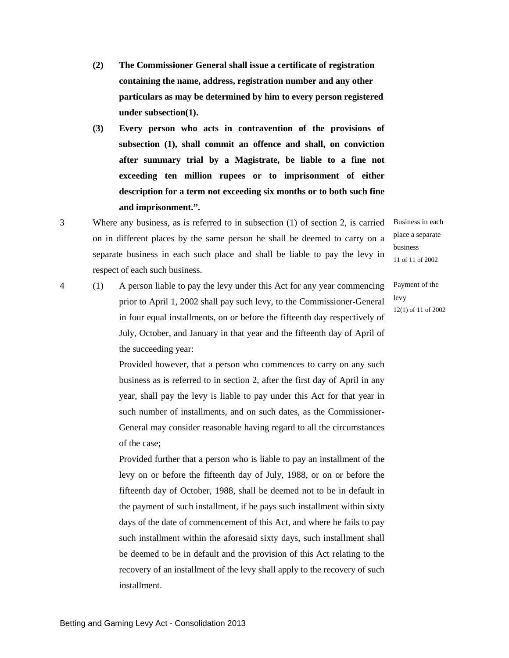- **(2) The Commissioner General shall issue a certificate of registration containing the name, address, registration number and any other particulars as may be determined by him to every person registered under subsection(1).**
- **(3) Every person who acts in contravention of the provisions of subsection (1), shall commit an offence and shall, on conviction after summary trial by a Magistrate, be liable to a fine not exceeding ten million rupees or to imprisonment of either description for a term not exceeding six months or to both such fine and imprisonment.".**
- 3 Where any business, as is referred to in subsection (1) of section 2, is carried on in different places by the same person he shall be deemed to carry on a separate business in each such place and shall be liable to pay the levy in respect of each such business.
- 4 (1) A person liable to pay the levy under this Act for any year commencing prior to April 1, 2002 shall pay such levy, to the Commissioner-General in four equal installments, on or before the fifteenth day respectively of July, October, and January in that year and the fifteenth day of April of the succeeding year:

business 11 of 11 of 2002

Business in each place a separate

Payment of the levy 12(1) of 11 of 2002

Provided however, that a person who commences to carry on any such business as is referred to in section 2, after the first day of April in any year, shall pay the levy is liable to pay under this Act for that year in such number of installments, and on such dates, as the Commissioner-General may consider reasonable having regard to all the circumstances of the case;

Provided further that a person who is liable to pay an installment of the levy on or before the fifteenth day of July, 1988, or on or before the fifteenth day of October, 1988, shall be deemed not to be in default in the payment of such installment, if he pays such installment within sixty days of the date of commencement of this Act, and where he fails to pay such installment within the aforesaid sixty days, such installment shall be deemed to be in default and the provision of this Act relating to the recovery of an installment of the levy shall apply to the recovery of such installment.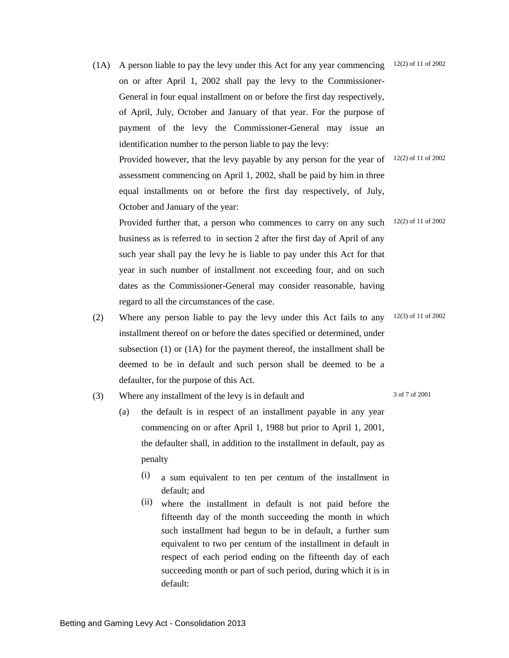- (1A) A person liable to pay the levy under this Act for any year commencing  $12(2)$  of 11 of 2002 on or after April 1, 2002 shall pay the levy to the Commissioner-General in four equal installment on or before the first day respectively, of April, July, October and January of that year. For the purpose of payment of the levy the Commissioner-General may issue an identification number to the person liable to pay the levy: Provided however, that the levy payable by any person for the year of  $12(2)$  of 11 of 2002 assessment commencing on April 1, 2002, shall be paid by him in three equal installments on or before the first day respectively, of July, October and January of the year: Provided further that, a person who commences to carry on any such  $12(2)$  of 11 of 2002 business as is referred to in section 2 after the first day of April of any such year shall pay the levy he is liable to pay under this Act for that year in such number of installment not exceeding four, and on such dates as the Commissioner-General may consider reasonable, having regard to all the circumstances of the case. (2) Where any person liable to pay the levy under this Act fails to any 12(3) of 11 of 2002
	- installment thereof on or before the dates specified or determined, under subsection (1) or (1A) for the payment thereof, the installment shall be deemed to be in default and such person shall be deemed to be a defaulter, for the purpose of this Act.

(3) Where any installment of the levy is in default and 3 of 7 of 2001

- (a) the default is in respect of an installment payable in any year commencing on or after April 1, 1988 but prior to April 1, 2001, the defaulter shall, in addition to the installment in default, pay as penalty
	- (i) a sum equivalent to ten per centum of the installment in default; and
	- (ii) where the installment in default is not paid before the fifteenth day of the month succeeding the month in which such installment had begun to be in default, a further sum equivalent to two per centum of the installment in default in respect of each period ending on the fifteenth day of each succeeding month or part of such period, during which it is in default: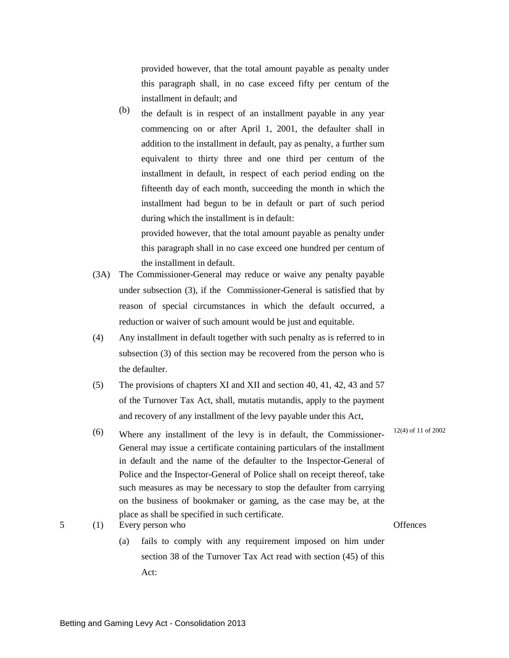provided however, that the total amount payable as penalty under this paragraph shall, in no case exceed fifty per centum of the installment in default; and

(b) the default is in respect of an installment payable in any year commencing on or after April 1, 2001, the defaulter shall in addition to the installment in default, pay as penalty, a further sum equivalent to thirty three and one third per centum of the installment in default, in respect of each period ending on the fifteenth day of each month, succeeding the month in which the installment had begun to be in default or part of such period during which the installment is in default:

provided however, that the total amount payable as penalty under this paragraph shall in no case exceed one hundred per centum of the installment in default.

- (3A) The Commissioner-General may reduce or waive any penalty payable under subsection (3), if the Commissioner-General is satisfied that by reason of special circumstances in which the default occurred, a reduction or waiver of such amount would be just and equitable.
- (4) Any installment in default together with such penalty as is referred to in subsection (3) of this section may be recovered from the person who is the defaulter.
- (5) The provisions of chapters XI and XII and section 40, 41, 42, 43 and 57 of the Turnover Tax Act, shall, mutatis mutandis, apply to the payment and recovery of any installment of the levy payable under this Act,
- (6) Where any installment of the levy is in default, the Commissioner-General may issue a certificate containing particulars of the installment in default and the name of the defaulter to the Inspector-General of Police and the Inspector-General of Police shall on receipt thereof, take such measures as may be necessary to stop the defaulter from carrying on the business of bookmaker or gaming, as the case may be, at the place as shall be specified in such certificate.
	- (a) fails to comply with any requirement imposed on him under section 38 of the Turnover Tax Act read with section (45) of this Act:

12(4) of 11 of 2002

5 (1) Every person who Offences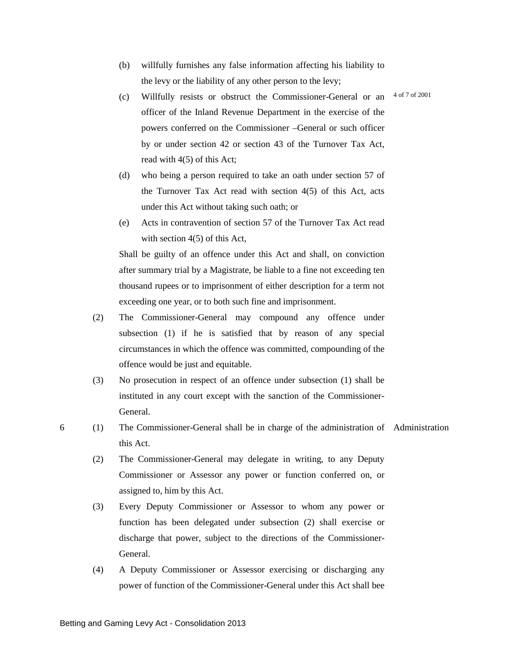- (b) willfully furnishes any false information affecting his liability to the levy or the liability of any other person to the levy;
- (c) Willfully resists or obstruct the Commissioner-General or an  $4$  of  $7$  of 2001 officer of the Inland Revenue Department in the exercise of the powers conferred on the Commissioner –General or such officer by or under section 42 or section 43 of the Turnover Tax Act, read with 4(5) of this Act;
- (d) who being a person required to take an oath under section 57 of the Turnover Tax Act read with section 4(5) of this Act, acts under this Act without taking such oath; or
- (e) Acts in contravention of section 57 of the Turnover Tax Act read with section 4(5) of this Act,

Shall be guilty of an offence under this Act and shall, on conviction after summary trial by a Magistrate, be liable to a fine not exceeding ten thousand rupees or to imprisonment of either description for a term not exceeding one year, or to both such fine and imprisonment.

- (2) The Commissioner-General may compound any offence under subsection (1) if he is satisfied that by reason of any special circumstances in which the offence was committed, compounding of the offence would be just and equitable.
- (3) No prosecution in respect of an offence under subsection (1) shall be instituted in any court except with the sanction of the Commissioner-General.
- 6 (1) The Commissioner-General shall be in charge of the administration of Administration this Act.
	- (2) The Commissioner-General may delegate in writing, to any Deputy Commissioner or Assessor any power or function conferred on, or assigned to, him by this Act.
	- (3) Every Deputy Commissioner or Assessor to whom any power or function has been delegated under subsection (2) shall exercise or discharge that power, subject to the directions of the Commissioner-General.
	- (4) A Deputy Commissioner or Assessor exercising or discharging any power of function of the Commissioner-General under this Act shall bee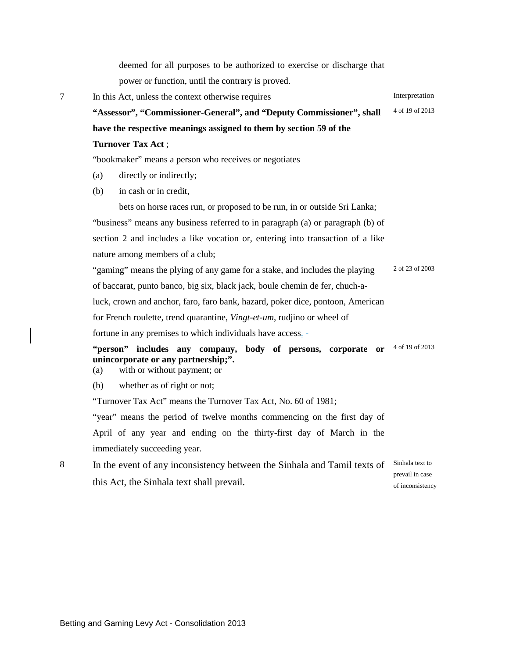deemed for all purposes to be authorized to exercise or discharge that power or function, until the contrary is proved. 7 In this Act, unless the context otherwise requires Interpretation **"Assessor", "Commissioner-General", and "Deputy Commissioner", shall have the respective meanings assigned to them by section 59 of the Turnover Tax Act** ; 4 of 19 of 2013 "bookmaker" means a person who receives or negotiates (a) directly or indirectly; (b) in cash or in credit, bets on horse races run, or proposed to be run, in or outside Sri Lanka; "business" means any business referred to in paragraph (a) or paragraph (b) of section 2 and includes a like vocation or, entering into transaction of a like nature among members of a club; "gaming" means the plying of any game for a stake, and includes the playing of baccarat, punto banco, big six, black jack, boule chemin de fer, chuch-aluck, crown and anchor, faro, faro bank, hazard, poker dice, pontoon, American for French roulette, trend quarantine, *Vingt-et-um*, rudjino or wheel of fortune in any premises to which individuals have access.-2 of 23 of 2003 **"person" includes any company, body of persons, corporate or**  4 of 19 of 2013 **unincorporate or any partnership;".** (a) with or without payment; or (b) whether as of right or not; "Turnover Tax Act" means the Turnover Tax Act, No. 60 of 1981; "year" means the period of twelve months commencing on the first day of April of any year and ending on the thirty-first day of March in the immediately succeeding year. 8 In the event of any inconsistency between the Sinhala and Tamil texts of this Act, the Sinhala text shall prevail. Sinhala text to prevail in case

of inconsistency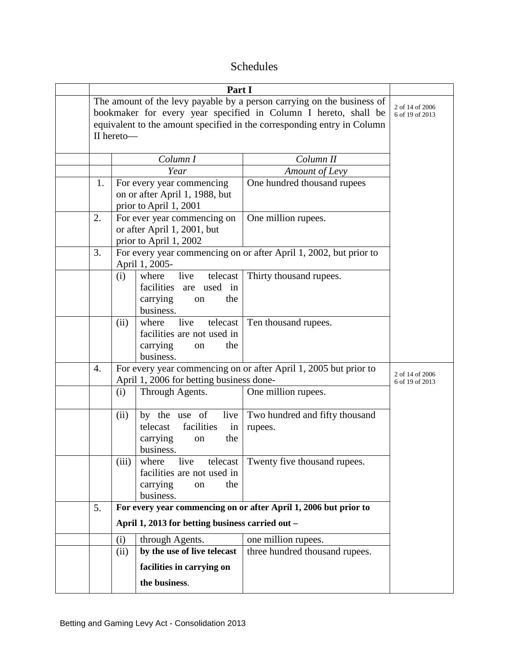## Schedules

| The amount of the levy payable by a person carrying on the business of<br>bookmaker for every year specified in Column I hereto, shall be<br>equivalent to the amount specified in the corresponding entry in Column<br>II hereto- | 2 of 14 of 2006<br>6 of 19 of 2013                                                                           |                                                                                               |                                                                                                  |  |
|------------------------------------------------------------------------------------------------------------------------------------------------------------------------------------------------------------------------------------|--------------------------------------------------------------------------------------------------------------|-----------------------------------------------------------------------------------------------|--------------------------------------------------------------------------------------------------|--|
|                                                                                                                                                                                                                                    |                                                                                                              |                                                                                               |                                                                                                  |  |
|                                                                                                                                                                                                                                    |                                                                                                              | Year                                                                                          | Amount of Levy                                                                                   |  |
| 1.                                                                                                                                                                                                                                 |                                                                                                              | For every year commencing<br>on or after April 1, 1988, but<br>prior to April 1, 2001         | One hundred thousand rupees                                                                      |  |
| 2.                                                                                                                                                                                                                                 |                                                                                                              | For ever year commencing on<br>or after April 1, 2001, but<br>prior to April 1, 2002          | One million rupees.                                                                              |  |
| 3.                                                                                                                                                                                                                                 | For every year commencing on or after April 1, 2002, but prior to<br>April 1, 2005-                          |                                                                                               |                                                                                                  |  |
|                                                                                                                                                                                                                                    | (i)                                                                                                          | live<br>telecast<br>where<br>are used in<br>facilities<br>carrying<br>the<br>on<br>business.  | Thirty thousand rupees.                                                                          |  |
|                                                                                                                                                                                                                                    | (ii)                                                                                                         | live<br>where<br>telecast<br>facilities are not used in<br>carrying<br>the<br>on<br>business. | Ten thousand rupees.                                                                             |  |
| 4.                                                                                                                                                                                                                                 | For every year commencing on or after April 1, 2005 but prior to<br>April 1, 2006 for betting business done- | 2 of 14 of 2006<br>6 of 19 of 2013                                                            |                                                                                                  |  |
|                                                                                                                                                                                                                                    | (i)                                                                                                          | Through Agents.                                                                               | One million rupees.                                                                              |  |
|                                                                                                                                                                                                                                    | (ii)                                                                                                         | by the use of<br>live<br>facilities<br>telecast<br>in<br>carrying<br>the<br>on<br>business.   | Two hundred and fifty thousand<br>rupees.                                                        |  |
|                                                                                                                                                                                                                                    | (iii)                                                                                                        | live<br>where<br>telecast<br>facilities are not used in<br>carrying<br>the<br>on<br>business. | Twenty five thousand rupees.<br>For every year commencing on or after April 1, 2006 but prior to |  |
| 5.                                                                                                                                                                                                                                 |                                                                                                              |                                                                                               |                                                                                                  |  |
|                                                                                                                                                                                                                                    | April 1, 2013 for betting business carried out -                                                             |                                                                                               |                                                                                                  |  |
|                                                                                                                                                                                                                                    | (i)                                                                                                          | through Agents.                                                                               | one million rupees.                                                                              |  |
|                                                                                                                                                                                                                                    | (ii)                                                                                                         | by the use of live telecast                                                                   | three hundred thousand rupees.                                                                   |  |
|                                                                                                                                                                                                                                    |                                                                                                              | facilities in carrying on                                                                     |                                                                                                  |  |
|                                                                                                                                                                                                                                    |                                                                                                              | the business.                                                                                 |                                                                                                  |  |